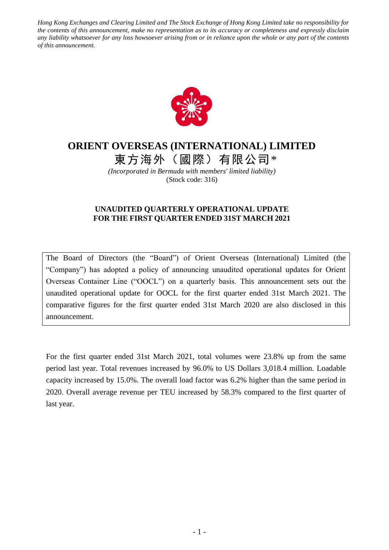*Hong Kong Exchanges and Clearing Limited and The Stock Exchange of Hong Kong Limited take no responsibility for the contents of this announcement, make no representation as to its accuracy or completeness and expressly disclaim any liability whatsoever for any loss howsoever arising from or in reliance upon the whole or any part of the contents of this announcement.*



## **ORIENT OVERSEAS (INTERNATIONAL) LIMITED**

東方海外(國際)有限公司\*

*(Incorporated in Bermuda with members' limited liability)* (Stock code: 316)

## **UNAUDITED QUARTERLY OPERATIONAL UPDATE FOR THE FIRST QUARTER ENDED 31ST MARCH 2021**

The Board of Directors (the "Board") of Orient Overseas (International) Limited (the "Company") has adopted a policy of announcing unaudited operational updates for Orient Overseas Container Line ("OOCL") on a quarterly basis. This announcement sets out the unaudited operational update for OOCL for the first quarter ended 31st March 2021. The comparative figures for the first quarter ended 31st March 2020 are also disclosed in this announcement.

For the first quarter ended 31st March 2021, total volumes were 23.8% up from the same period last year. Total revenues increased by 96.0% to US Dollars 3,018.4 million. Loadable capacity increased by 15.0%. The overall load factor was 6.2% higher than the same period in 2020. Overall average revenue per TEU increased by 58.3% compared to the first quarter of last year.